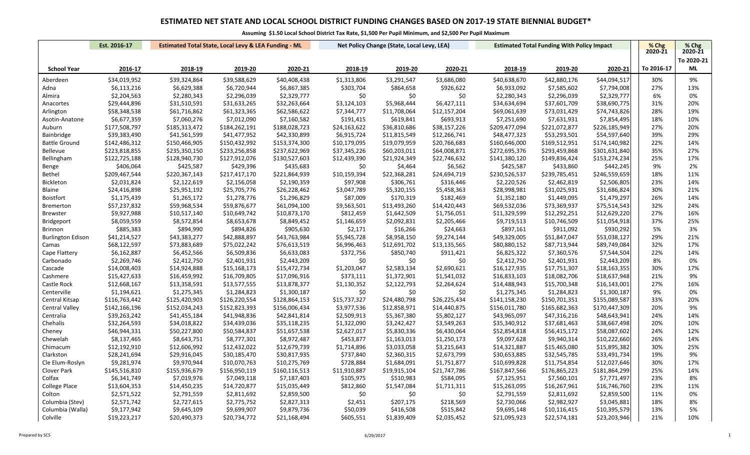|                          | Est. 2016-17<br><b>Estimated Total State, Local Levy &amp; LEA Funding - ML</b> |               |               |               | Net Policy Change (State, Local Levy, LEA) |              |              | <b>Estimated Total Funding With Policy Impact</b> | % Chg         | $%$ Chg       |            |            |
|--------------------------|---------------------------------------------------------------------------------|---------------|---------------|---------------|--------------------------------------------|--------------|--------------|---------------------------------------------------|---------------|---------------|------------|------------|
|                          |                                                                                 |               |               |               |                                            |              |              |                                                   |               |               | 2020-21    | 2020-21    |
|                          |                                                                                 |               |               |               |                                            |              |              |                                                   |               |               |            | To 2020-21 |
| <b>School Year</b>       | 2016-17                                                                         | 2018-19       | 2019-20       | 2020-21       | 2018-19                                    | 2019-20      | 2020-21      | 2018-19                                           | 2019-20       | 2020-21       | To 2016-17 | ML         |
| Aberdeen                 | \$34,019,952                                                                    | \$39,324,864  | \$39,588,629  | \$40,408,438  | \$1,313,806                                | \$3,291,547  | \$3,686,080  | \$40,638,670                                      | \$42,880,176  | \$44,094,517  | 30%        | 9%         |
| Adna                     | \$6,113,216                                                                     | \$6,629,388   | \$6,720,944   | \$6,867,385   | \$303,704                                  | \$864,658    | \$926,622    | \$6,933,092                                       | \$7,585,602   | \$7,794,008   | 27%        | 13%        |
| Almira                   | \$2,204,563                                                                     | \$2,280,343   | \$2,296,039   | \$2,329,777   | \$0                                        | \$0          | \$0          | \$2,280,343                                       | \$2,296,039   | \$2,329,777   | 6%         | 0%         |
| Anacortes                | \$29,444,896                                                                    | \$31,510,591  | \$31,633,265  | \$32,263,664  | \$3,124,103                                | \$5,968,444  | \$6,427,111  | \$34,634,694                                      | \$37,601,709  | \$38,690,775  | 31%        | 20%        |
| Arlington                | \$58,348,538                                                                    | \$61,716,862  | \$61,323,365  | \$62,586,622  | \$7,344,777                                | \$11,708,064 | \$12,157,204 | \$69,061,639                                      | \$73,031,429  | \$74,743,826  | 28%        | 19%        |
| Asotin-Anatone           | \$6,677,359                                                                     | \$7,060,276   | \$7,012,090   | \$7,160,582   | \$191,415                                  | \$619,841    | \$693,913    | \$7,251,690                                       | \$7,631,931   | \$7,854,495   | 18%        | 10%        |
| Auburn                   | \$177,508,797                                                                   | \$185,313,472 | \$184,262,191 | \$188,028,723 | \$24,163,622                               | \$36,810,686 | \$38,157,226 | \$209,477,094                                     | \$221,072,877 | \$226,185,949 | 27%        | 20%        |
| Bainbridge               | \$39,383,490                                                                    | \$41,561,599  | \$41,477,952  | \$42,330,899  | \$6,915,724                                | \$11,815,549 | \$12,266,741 | \$48,477,323                                      | \$53,293,501  | \$54,597,640  | 39%        | 29%        |
| <b>Battle Ground</b>     | \$142,486,312                                                                   | \$150,466,905 | \$150,432,992 | \$153,374,300 | \$10,179,095                               | \$19,079,959 | \$20,766,683 | \$160,646,000                                     | \$169,512,951 | \$174,140,982 | 22%        | 14%        |
| Bellevue                 | \$223,818,855                                                                   | \$235,350,150 | \$233,256,858 | \$237,622,969 | \$37,345,226                               | \$60,203,011 | \$64,008,871 | \$272,695,376                                     | \$293,459,868 | \$301,631,840 | 35%        | 27%        |
| Bellingham               | \$122,725,188                                                                   | \$128,940,730 | \$127,912,076 | \$130,527,603 | \$12,439,390                               | \$21,924,349 | \$22,746,632 | \$141,380,120                                     | \$149,836,424 | \$153,274,234 | 25%        | 17%        |
| Benge                    | \$406,064                                                                       | \$425,587     | \$429,396     | \$435,683     | \$0                                        | \$4,464      | \$6,562      | \$425,587                                         | \$433,860     | \$442,245     | 9%         | 2%         |
| <b>Bethel</b>            | \$209,467,544                                                                   | \$220,367,143 | \$217,417,170 | \$221,864,939 | \$10,159,394                               | \$22,368,281 | \$24,694,719 | \$230,526,537                                     | \$239,785,451 | \$246,559,659 | 18%        | 11%        |
| <b>Bickleton</b>         | \$2,031,824                                                                     | \$2,122,619   | \$2,156,058   | \$2,190,359   | \$97,908                                   | \$306,761    | \$316,446    | \$2,220,526                                       | \$2,462,819   | \$2,506,805   | 23%        | 14%        |
| Blaine                   | \$24,416,898                                                                    | \$25,951,192  | \$25,705,776  | \$26,228,462  | \$3,047,789                                | \$5,320,155  | \$5,458,363  | \$28,998,981                                      | \$31,025,931  | \$31,686,824  | 30%        | 21%        |
| <b>Boistfort</b>         | \$1,175,439                                                                     | \$1,265,172   | \$1,278,776   | \$1,296,829   | \$87,009                                   | \$170,319    | \$182,469    | \$1,352,180                                       | \$1,449,095   | \$1,479,297   | 26%        | 14%        |
| <b>Bremerton</b>         | \$57,237,832                                                                    | \$59,968,534  | \$59,876,677  | \$61,094,100  | \$9,563,501                                | \$13,493,260 | \$14,420,443 | \$69,532,036                                      | \$73,369,937  | \$75,514,543  | 32%        | 24%        |
| <b>Brewster</b>          | \$9,927,988                                                                     | \$10,517,140  | \$10,649,742  | \$10,873,170  | \$812,459                                  | \$1,642,509  | \$1,756,051  | \$11,329,599                                      | \$12,292,251  | \$12,629,220  | 27%        | 16%        |
| <b>Bridgeport</b>        | \$8,059,559                                                                     | \$8,572,854   | \$8,653,678   | \$8,849,452   | \$1,146,659                                | \$2,092,831  | \$2,205,466  | \$9,719,513                                       | \$10,746,509  | \$11,054,918  | 37%        | 25%        |
| <b>Brinnon</b>           | \$885,383                                                                       | \$894,990     | \$894,826     | \$905,630     | \$2,171                                    | \$16,266     | \$24,663     | \$897,161                                         | \$911,092     | \$930,292     | 5%         | 3%         |
| <b>Burlington Edison</b> | \$41,214,527                                                                    | \$43,383,277  | \$42,888,897  | \$43,763,984  | \$5,945,728                                | \$8,958,150  | \$9,274,144  | \$49,329,005                                      | \$51,847,047  | \$53,038,127  | 29%        | 21%        |
| Camas                    | \$68,122,597                                                                    | \$73,883,689  | \$75,022,242  | \$76,613,519  | \$6,996,463                                | \$12,691,702 | \$13,135,565 | \$80,880,152                                      | \$87,713,944  | \$89,749,084  | 32%        | 17%        |
| Cape Flattery            | \$6,162,887                                                                     | \$6,452,566   | \$6,509,836   | \$6,633,083   | \$372,756                                  | \$850,740    | \$911,421    | \$6,825,322                                       | \$7,360,576   | \$7,544,504   | 22%        | 14%        |
| Carbonado                | \$2,269,746                                                                     | \$2,412,750   | \$2,401,931   | \$2,443,209   | \$0                                        | \$0          | \$0          | \$2,412,750                                       | \$2,401,931   | \$2,443,209   | 8%         | 0%         |
| Cascade                  | \$14,008,403                                                                    | \$14,924,888  | \$15,168,173  | \$15,472,734  | \$1,203,047                                | \$2,583,134  | \$2,690,621  | \$16,127,935                                      | \$17,751,307  | \$18,163,355  | 30%        | 17%        |
| Cashmere                 | \$15,427,633                                                                    | \$16,459,992  | \$16,709,805  | \$17,096,916  | \$373,111                                  | \$1,372,901  | \$1,541,032  | \$16,833,103                                      | \$18,082,706  | \$18,637,948  | 21%        | 9%         |
| Castle Rock              | \$12,668,167                                                                    | \$13,358,591  | \$13,577,555  | \$13,878,377  | \$1,130,352                                | \$2,122,793  | \$2,264,624  | \$14,488,943                                      | \$15,700,348  | \$16,143,001  | 27%        | 16%        |
| Centerville              | \$1,194,621                                                                     | \$1,275,345   | \$1,284,823   | \$1,300,187   | \$0                                        | \$0          | \$0          | \$1,275,345                                       | \$1,284,823   | \$1,300,187   | 9%         | 0%         |
| Central Kitsap           | \$116,763,442                                                                   | \$125,420,903 | \$126,220,554 | \$128,864,153 | \$15,737,327                               | \$24,480,798 | \$26,225,434 | \$141,158,230                                     | \$150,701,351 | \$155,089,587 | 33%        | 20%        |
| <b>Central Valley</b>    | \$142,166,196                                                                   | \$152,034,243 | \$152,823,393 | \$156,006,434 | \$3,977,536                                | \$12,858,971 | \$14,440,875 | \$156,011,780                                     | \$165,682,363 | \$170,447,309 | 20%        | 9%         |
| Centralia                | \$39,263,242                                                                    | \$41,455,184  | \$41,948,836  | \$42,841,814  | \$2,509,913                                | \$5,367,380  | \$5,802,127  | \$43,965,097                                      | \$47,316,216  | \$48,643,941  | 24%        | 14%        |
| Chehalis                 | \$32,264,593                                                                    | \$34,018,822  | \$34,439,036  | \$35,118,235  | \$1,322,090                                | \$3,242,427  | \$3,549,263  | \$35,340,912                                      | \$37,681,463  | \$38,667,498  | 20%        | 10%        |
| Cheney                   | \$46,944,331                                                                    | \$50,227,800  | \$50,584,837  | \$51,657,538  | \$2,627,017                                | \$5,830,336  | \$6,430,064  | \$52,854,818                                      | \$56,415,172  | \$58,087,602  | 24%        | 12%        |
| Chewelah                 | \$8,137,465                                                                     | \$8,643,751   | \$8,777,301   | \$8,972,487   | \$453,877                                  | \$1,163,013  | \$1,250,173  | \$9,097,628                                       | \$9,940,314   | \$10,222,660  | 26%        | 14%        |
| Chimacum                 | \$12,192,910                                                                    | \$12,606,992  | \$12,432,022  | \$12,679,739  | \$1,714,896                                | \$3,033,058  | \$3,215,643  | \$14,321,887                                      | \$15,465,080  | \$15,895,382  | 30%        | 25%        |
| Clarkston                | \$28,241,694                                                                    | \$29,916,045  | \$30,185,470  | \$30,817,935  | \$737,840                                  | \$2,360,315  | \$2,673,799  | \$30,653,885                                      | \$32,545,785  | \$33,491,734  | 19%        | 9%         |
| Cle Elum-Roslyn          | \$9,281,974                                                                     | \$9,970,944   | \$10,070,763  | \$10,275,769  | \$728,884                                  | \$1,684,091  | \$1,751,877  | \$10,699,828                                      | \$11,754,854  | \$12,027,646  | 30%        | 17%        |
| Clover Park              | \$145,516,810                                                                   | \$155,936,679 | \$156,950,119 | \$160,116,513 | \$11,910,887                               | \$19,915,104 | \$21,747,786 | \$167,847,566                                     | \$176,865,223 | \$181,864,299 | 25%        | 14%        |
| Colfax                   | \$6,341,749                                                                     | \$7,019,976   | \$7,049,118   | \$7,187,403   | \$105,975                                  | \$510,983    | \$584,095    | \$7,125,951                                       | \$7,560,101   | \$7,771,497   | 23%        | 8%         |
| <b>College Place</b>     | \$13,604,353                                                                    | \$14,450,235  | \$14,720,877  | \$15,035,449  | \$812,860                                  | \$1,547,084  | \$1,711,311  | \$15,263,095                                      | \$16,267,961  | \$16,746,760  | 23%        | 11%        |
| Colton                   | \$2,571,522                                                                     | \$2,791,559   | \$2,811,692   | \$2,859,500   | \$0                                        | \$0          | \$0          | \$2,791,559                                       | \$2,811,692   | \$2,859,500   | 11%        | 0%         |
| Columbia (Stev)          | \$2,571,742                                                                     | \$2,727,615   | \$2,775,752   | \$2,827,313   | \$2,451                                    | \$207,175    | \$218,569    | \$2,730,066                                       | \$2,982,927   | \$3,045,881   | 18%        | 8%         |
| Columbia (Walla)         | \$9,177,942                                                                     | \$9,645,109   | \$9,699,907   | \$9,879,736   | \$50,039                                   | \$416,508    | \$515,842    | \$9,695,148                                       | \$10,116,415  | \$10,395,579  | 13%        | 5%         |
| Colville                 | \$19,223,217                                                                    | \$20,490,373  | \$20,734,772  | \$21,168,494  | \$605,551                                  | \$1,839,409  | \$2,035,452  | \$21,095,923                                      | \$22,574,181  | \$23,203,946  | 21%        | 10%        |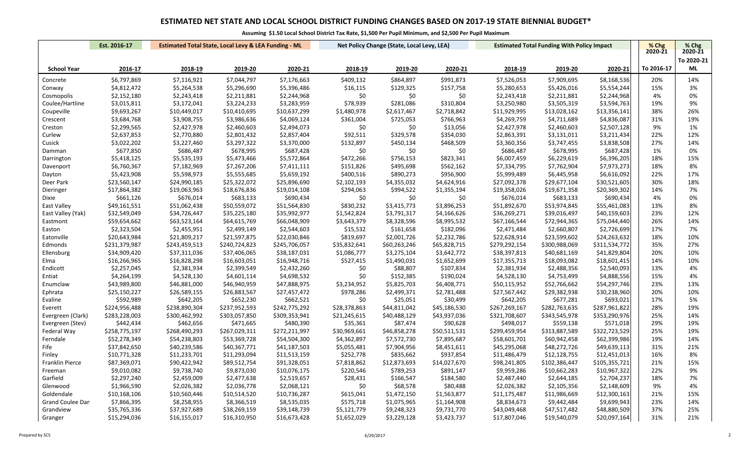|                         | Est. 2016-17                 |                              | <b>Estimated Total State, Local Levy &amp; LEA Funding - ML</b> |                              |                          | Net Policy Change (State, Local Levy, LEA) |                         | <b>Estimated Total Funding With Policy Impact</b> |                              |                              | % Chg      | % Chg      |
|-------------------------|------------------------------|------------------------------|-----------------------------------------------------------------|------------------------------|--------------------------|--------------------------------------------|-------------------------|---------------------------------------------------|------------------------------|------------------------------|------------|------------|
|                         |                              |                              |                                                                 |                              |                          |                                            |                         |                                                   |                              |                              | 2020-21    | 2020-21    |
|                         |                              |                              |                                                                 |                              |                          |                                            |                         |                                                   |                              |                              |            | To 2020-21 |
| <b>School Year</b>      | 2016-17                      | 2018-19                      | 2019-20                                                         | 2020-21                      | 2018-19                  | 2019-20                                    | 2020-21                 | 2018-19                                           | 2019-20                      | 2020-21                      | To 2016-17 | ML         |
| Concrete                | \$6,797,869                  | \$7,116,921                  | \$7,044,797                                                     | \$7,176,663                  | \$409,132                | \$864,897                                  | \$991,873               | \$7,526,053                                       | \$7,909,695                  | \$8,168,536                  | 20%        | 14%        |
| Conway                  | \$4,812,472                  | \$5,264,538                  | \$5,296,690                                                     | \$5,396,486                  | \$16,115                 | \$129,325                                  | \$157,758               | \$5,280,653                                       | \$5,426,016                  | \$5,554,244                  | 15%        | 3%         |
| Cosmopolis              | \$2,152,180                  | \$2,243,418                  | \$2,211,881                                                     | \$2,244,968                  | \$0                      | \$0                                        | \$0                     | \$2,243,418                                       | \$2,211,881                  | \$2,244,968                  | 4%         | 0%         |
| Coulee/Hartline         | \$3,015,811                  | \$3,172,041                  | \$3,224,233                                                     | \$3,283,959                  | \$78,939                 | \$281,086                                  | \$310,804               | \$3,250,980                                       | \$3,505,319                  | \$3,594,763                  | 19%        | 9%         |
| Coupeville              | \$9,693,267                  | \$10,449,017                 | \$10,410,695                                                    | \$10,637,299                 | \$1,480,978              | \$2,617,467                                | \$2,718,842             | \$11,929,995                                      | \$13,028,162                 | \$13,356,141                 | 38%        | 26%        |
| Crescent                | \$3,684,768                  | \$3,908,755                  | \$3,986,636                                                     | \$4,069,124                  | \$361,004                | \$725,053                                  | \$766,963               | \$4,269,759                                       | \$4,711,689                  | \$4,836,087                  | 31%        | 19%        |
| Creston                 | \$2,299,565                  | \$2,427,978                  | \$2,460,603                                                     | \$2,494,073                  | \$0                      | \$0                                        | \$13,056                | \$2,427,978                                       | \$2,460,603                  | \$2,507,128                  | 9%         | 1%         |
| Curlew                  | \$2,637,853                  | \$2,770,880                  | \$2,801,432                                                     | \$2,857,404                  | \$92,511                 | \$329,578                                  | \$354,030               | \$2,863,391                                       | \$3,131,011                  | \$3,211,434                  | 22%        | 12%        |
| Cusick                  | \$3,022,202                  | \$3,227,460                  | \$3,297,322                                                     | \$3,370,000                  | \$132,897                | \$450,134                                  | \$468,509               | \$3,360,356                                       | \$3,747,455                  | \$3,838,508                  | 27%        | 14%        |
| Damman                  | \$677,850                    | \$686,487                    | \$678,995                                                       | \$687,428                    | \$0                      | \$0                                        | \$0                     | \$686,487                                         | \$678,995                    | \$687,428                    | 1%         | 0%         |
| Darrington              | \$5,418,125                  | \$5,535,193                  | \$5,473,466                                                     | \$5,572,864                  | \$472,266                | \$756,153                                  | \$823,341               | \$6,007,459                                       | \$6,229,619                  | \$6,396,205                  | 18%        | 15%        |
| Davenport               | \$6,760,367                  | \$7,182,969                  | \$7,267,206                                                     | \$7,411,111                  | \$151,826                | \$495,698                                  | \$562,162               | \$7,334,795                                       | \$7,762,904                  | \$7,973,273                  | 18%        | 8%         |
| Dayton                  | \$5,423,908                  | \$5,598,973                  | \$5,555,685                                                     | \$5,659,192                  | \$400,516                | \$890,273                                  | \$956,900               | \$5,999,489                                       | \$6,445,958                  | \$6,616,092                  | 22%        | 17%        |
| Deer Park               | \$23,560,147                 | \$24,990,185                 | \$25,322,072                                                    | \$25,896,690                 | \$2,102,193              | \$4,355,032                                | \$4,624,916             | \$27,092,378                                      | \$29,677,104                 | \$30,521,605                 | 30%        | 18%        |
| Dieringer               | \$17,864,382                 | \$19,063,963                 | \$18,676,836                                                    | \$19,014,108                 | \$294,063                | \$994,522                                  | \$1,355,194             | \$19,358,026                                      | \$19,671,358                 | \$20,369,302                 | 14%        | 7%         |
| Dixie                   | \$661,126                    | \$676,014                    | \$683,133                                                       | \$690,434                    | \$0                      | \$0                                        | \$0                     | \$676,014                                         | \$683,133                    | \$690,434                    | 4%         | 0%         |
| East Valley             | \$49,161,551                 | \$51,062,438                 | \$50,559,072                                                    | \$51,564,830                 | \$830,232                | \$3,415,773                                | \$3,896,253             | \$51,892,670                                      | \$53,974,845                 | \$55,461,083                 | 13%        | 8%         |
| East Valley (Yak)       | \$32,549,049                 | \$34,726,447                 | \$35,225,180                                                    | \$35,992,977                 | \$1,542,824              | \$3,791,317                                | \$4,166,626             | \$36,269,271                                      | \$39,016,497                 | \$40,159,603                 | 23%        | 12%        |
| Eastmont                | \$59,654,662                 | \$63,523,164                 | \$64,615,769                                                    | \$66,048,909                 | \$3,643,379              | \$8,328,596                                | \$8,995,532             | \$67,166,544                                      | \$72,944,365                 | \$75,044,440                 | 26%        | 14%        |
| Easton                  | \$2,323,504                  | \$2,455,951                  | \$2,499,149                                                     | \$2,544,603                  | \$15,532                 | \$161,658                                  | \$182,096               | \$2,471,484                                       | \$2,660,807                  | \$2,726,699                  | 17%        | 7%         |
| Eatonville              | \$20,643,984                 | \$21,809,217                 | \$21,597,875                                                    | \$22,030,846                 | \$819,697                | \$2,001,726                                | \$2,232,786             | \$22,628,914                                      | \$23,599,602                 | \$24,263,632                 | 18%        | 10%        |
| Edmonds                 | \$231,379,987                | \$243,459,513                | \$240,724,823                                                   | \$245,706,057                | \$35,832,641             | \$60,263,246                               | \$65,828,715            | \$279,292,154                                     | \$300,988,069                | \$311,534,772                | 35%        | 27%        |
| Ellensburg              | \$34,909,420                 | \$37,311,036                 | \$37,406,065                                                    | \$38,187,031                 | \$1,086,777              | \$3,275,104                                | \$3,642,772             | \$38,397,813                                      | \$40,681,169                 | \$41,829,804                 | 20%        | 10%        |
| Elma                    | \$16,266,965                 | \$16,828,298                 | \$16,603,051                                                    | \$16,948,716                 | \$527,415                | \$1,490,031                                | \$1,652,699             | \$17,355,713                                      | \$18,093,082                 | \$18,601,415                 | 14%        | 10%        |
| Endicott                | \$2,257,045                  | \$2,381,934                  | \$2,399,549                                                     | \$2,432,260                  | \$0                      | \$88,807                                   | \$107,834               | \$2,381,934                                       | \$2,488,356                  | \$2,540,093                  | 13%        | 4%         |
| Entiat                  | \$4,264,199                  | \$4,528,130                  | \$4,601,114                                                     | \$4,698,532                  | \$0                      | \$152,385                                  | \$190,024               | \$4,528,130                                       | \$4,753,499                  | \$4,888,556                  | 15%        | 4%         |
|                         |                              |                              |                                                                 |                              |                          |                                            |                         |                                                   |                              |                              |            |            |
| Enumclaw                | \$43,989,800<br>\$25,150,227 | \$46,881,000<br>\$26,589,155 | \$46,940,959<br>\$26,883,567                                    | \$47,888,975<br>\$27,457,472 | \$3,234,952<br>\$978,286 | \$5,825,703<br>\$2,499,371                 | \$6,408,771             | \$50,115,952<br>\$27,567,442                      | \$52,766,662<br>\$29,382,938 | \$54,297,746<br>\$30,238,960 | 23%<br>20% | 13%<br>10% |
| Ephrata                 | \$592,989                    | \$642,205                    |                                                                 | \$662,521                    |                          | \$25,051                                   | \$2,781,488<br>\$30,499 | \$642,205                                         | \$677,281                    |                              | 17%        | 5%         |
| Evaline                 |                              |                              | \$652,230                                                       |                              | \$0                      |                                            |                         |                                                   |                              | \$693,021                    |            |            |
| Everett                 | \$224,956,488                | \$238,890,304                | \$237,952,593                                                   | \$242,775,292                | \$28,378,863             | \$44,811,042                               | \$45,186,530            | \$267,269,167                                     | \$282,763,635                | \$287,961,822                | 28%        | 19%        |
| Evergreen (Clark)       | \$283,228,003                | \$300,462,992                | \$303,057,850                                                   | \$309,353,941<br>\$480,390   | \$21,245,615             | \$40,488,129                               | \$43,937,036            | \$321,708,607                                     | \$343,545,978                | \$353,290,976                | 25%        | 14%        |
| Evergreen (Stev)        | \$442,434                    | \$462,656                    | \$471,665                                                       |                              | \$35,361                 | \$87,474                                   | \$90,628                | \$498,017                                         | \$559,138                    | \$571,018                    | 29%        | 19%        |
| Federal Way             | \$258,775,197                | \$268,490,293                | \$267,029,311                                                   | \$272,211,997                | \$30,969,661             | \$46,858,278                               | \$50,511,531            | \$299,459,954                                     | \$313,887,589                | \$322,723,529                | 25%        | 19%        |
| Ferndale                | \$52,278,349                 | \$54,238,803                 | \$53,369,728                                                    | \$54,504,300                 | \$4,362,897              | \$7,572,730                                | \$7,895,687             | \$58,601,701                                      | \$60,942,458                 | \$62,399,986                 | 19%        | 14%        |
| Fife                    | \$37,842,650                 | \$40,239,586                 | \$40,367,771                                                    | \$41,187,503                 | \$5,055,481              | \$7,904,956                                | \$8,451,611             | \$45,295,068                                      | \$48,272,726                 | \$49,639,113                 | 31%        | 21%        |
| Finley                  | \$10,771,328                 | \$11,233,701                 | \$11,293,094                                                    | \$11,513,159                 | \$252,778                | \$835,662                                  | \$937,854               | \$11,486,479                                      | \$12,128,755                 | \$12,451,013                 | 16%        | 8%         |
| Franklin Pierce         | \$87,369,071                 | \$90,422,942                 | \$89,512,754                                                    | \$91,328,051                 | \$7,818,862              | \$12,873,693                               | \$14,027,670            | \$98,241,805                                      | \$102,386,447                | \$105,355,721                | 21%        | 15%        |
| Freeman                 | \$9,010,082                  | \$9,738,740                  | \$9,873,030                                                     | \$10,076,175                 | \$220,546                | \$789,253                                  | \$891,147               | \$9,959,286                                       | \$10,662,283                 | \$10,967,322                 | 22%        | 9%         |
| Garfield                | \$2,297,240                  | \$2,459,009                  | \$2,477,638                                                     | \$2,519,657                  | \$28,431                 | \$166,547                                  | \$184,580               | \$2,487,440                                       | \$2,644,185                  | \$2,704,237                  | 18%        | 7%         |
| Glenwood                | \$1,966,590                  | \$2,026,382                  | \$2,036,778                                                     | \$2,068,121                  | \$0                      | \$68,578                                   | \$80,488                | \$2,026,382                                       | \$2,105,356                  | \$2,148,609                  | 9%         | 4%         |
| Goldendale              | \$10,168,106                 | \$10,560,446                 | \$10,514,520                                                    | \$10,736,287                 | \$615,041                | \$1,472,150                                | \$1,563,877             | \$11,175,487                                      | \$11,986,669                 | \$12,300,163                 | 21%        | 15%        |
| <b>Grand Coulee Dar</b> | \$7,866,395                  | \$8,258,955                  | \$8,366,519                                                     | \$8,535,035                  | \$575,718                | \$1,075,965                                | \$1,164,908             | \$8,834,673                                       | \$9,442,484                  | \$9,699,943                  | 23%        | 14%        |
| Grandview               | \$35,765,336                 | \$37,927,689                 | \$38,269,159                                                    | \$39,148,739                 | \$5,121,779              | \$9,248,323                                | \$9,731,770             | \$43,049,468                                      | \$47,517,482                 | \$48,880,509                 | 37%        | 25%        |
| Granger                 | \$15,294,036                 | \$16,155,017                 | \$16,310,950                                                    | \$16,673,428                 | \$1,652,029              | \$3,229,128                                | \$3,423,737             | \$17,807,046                                      | \$19,540,079                 | \$20,097,164                 | 31%        | 21%        |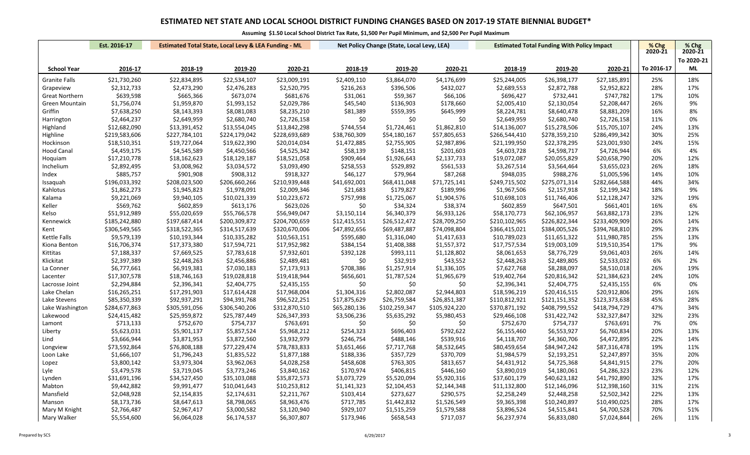|                       | Est. 2016-17<br><b>Estimated Total State, Local Levy &amp; LEA Funding - ML</b> |               |               | Net Policy Change (State, Local Levy, LEA) |              |               | <b>Estimated Total Funding With Policy Impact</b> | % Chg         | % Chg         |               |            |            |
|-----------------------|---------------------------------------------------------------------------------|---------------|---------------|--------------------------------------------|--------------|---------------|---------------------------------------------------|---------------|---------------|---------------|------------|------------|
|                       |                                                                                 |               |               |                                            |              |               |                                                   |               |               |               | 2020-21    | 2020-21    |
|                       |                                                                                 |               |               |                                            |              |               |                                                   |               |               |               |            | To 2020-21 |
| <b>School Year</b>    | 2016-17                                                                         | 2018-19       | 2019-20       | 2020-21                                    | 2018-19      | 2019-20       | 2020-21                                           | 2018-19       | 2019-20       | 2020-21       | To 2016-17 | ML         |
| <b>Granite Falls</b>  | \$21,730,260                                                                    | \$22,834,895  | \$22,534,107  | \$23,009,191                               | \$2,409,110  | \$3,864,070   | \$4,176,699                                       | \$25,244,005  | \$26,398,177  | \$27,185,891  | 25%        | 18%        |
| Grapeview             | \$2,312,733                                                                     | \$2,473,290   | \$2,476,283   | \$2,520,795                                | \$216,263    | \$396,506     | \$432,027                                         | \$2,689,553   | \$2,872,788   | \$2,952,822   | 28%        | 17%        |
| <b>Great Northern</b> | \$639,598                                                                       | \$665,366     | \$673,074     | \$681,676                                  | \$31,061     | \$59,367      | \$66,106                                          | \$696,427     | \$732,441     | \$747,782     | 17%        | 10%        |
| Green Mountain        | \$1,756,074                                                                     | \$1,959,870   | \$1,993,152   | \$2,029,786                                | \$45,540     | \$136,903     | \$178,660                                         | \$2,005,410   | \$2,130,054   | \$2,208,447   | 26%        | 9%         |
| Griffin               | \$7,638,250                                                                     | \$8,143,393   | \$8,081,083   | \$8,235,210                                | \$81,389     | \$559,395     | \$645,999                                         | \$8,224,781   | \$8,640,478   | \$8,881,209   | 16%        | 8%         |
| Harrington            | \$2,464,237                                                                     | \$2,649,959   | \$2,680,740   | \$2,726,158                                | \$0          | \$0           | \$0                                               | \$2,649,959   | \$2,680,740   | \$2,726,158   | 11%        | 0%         |
| Highland              | \$12,682,090                                                                    | \$13,391,452  | \$13,554,045  | \$13,842,298                               | \$744,554    | \$1,724,461   | \$1,862,810                                       | \$14,136,007  | \$15,278,506  | \$15,705,107  | 24%        | 13%        |
| Highline              | \$219,583,606                                                                   | \$227,784,101 | \$224,179,042 | \$228,693,689                              | \$38,760,309 | \$54,180,167  | \$57,805,653                                      | \$266,544,410 | \$278,359,210 | \$286,499,342 | 30%        | 25%        |
| Hockinson             | \$18,510,351                                                                    | \$19,727,064  | \$19,622,390  | \$20,014,034                               | \$1,472,885  | \$2,755,905   | \$2,987,896                                       | \$21,199,950  | \$22,378,295  | \$23,001,930  | 24%        | 15%        |
| Hood Canal            | \$4,459,175                                                                     | \$4,545,589   | \$4,450,566   | \$4,525,342                                | \$58,139     | \$148,151     | \$201,603                                         | \$4,603,728   | \$4,598,717   | \$4,726,944   | 6%         | 4%         |
| Hoquiam               | \$17,210,778                                                                    | \$18,162,623  | \$18,129,187  | \$18,521,058                               | \$909,464    | \$1,926,643   | \$2,137,733                                       | \$19,072,087  | \$20,055,829  | \$20,658,790  | 20%        | 12%        |
| Inchelium             | \$2,892,495                                                                     | \$3,008,962   | \$3,034,572   | \$3,093,490                                | \$258,553    | \$529,892     | \$561,533                                         | \$3,267,514   | \$3,564,464   | \$3,655,023   | 26%        | 18%        |
| Index                 | \$885,757                                                                       | \$901,908     | \$908,312     | \$918,327                                  | \$46,127     | \$79,964      | \$87,268                                          | \$948,035     | \$988,276     | \$1,005,596   | 14%        | 10%        |
| Issaquah              | \$196,033,392                                                                   | \$208,023,500 | \$206,660,266 | \$210,939,448                              | \$41,692,001 | \$68,411,048  | \$71,725,141                                      | \$249,715,502 | \$275,071,314 | \$282,664,588 | 44%        | 34%        |
| Kahlotus              | \$1,862,273                                                                     | \$1,945,823   | \$1,978,091   | \$2,009,346                                | \$21,683     | \$179,827     | \$189,996                                         | \$1,967,506   | \$2,157,918   | \$2,199,342   | 18%        | 9%         |
| Kalama                | \$9,221,069                                                                     | \$9,940,105   | \$10,021,339  | \$10,223,672                               | \$757,998    | \$1,725,067   | \$1,904,576                                       | \$10,698,103  | \$11,746,406  | \$12,128,247  | 32%        | 19%        |
| Keller                | \$569,762                                                                       | \$602,859     | \$613,176     | \$623,026                                  | \$0          | \$34,324      | \$38,374                                          | \$602,859     | \$647,501     | \$661,401     | 16%        | 6%         |
| Kelso                 | \$51,912,989                                                                    | \$55,020,659  | \$55,766,578  | \$56,949,047                               | \$3,150,114  | \$6,340,379   | \$6,933,126                                       | \$58,170,773  | \$62,106,957  | \$63,882,173  | 23%        | 12%        |
| Kennewick             | \$185,242,880                                                                   | \$197,687,414 | \$200,309,872 | \$204,700,659                              | \$12,415,551 | \$26,512,472  | \$28,709,250                                      | \$210,102,965 | \$226,822,344 | \$233,409,909 | 26%        | 14%        |
| Kent                  | \$306,549,565                                                                   | \$318,522,365 | \$314,517,639 | \$320,670,006                              | \$47,892,656 | \$69,487,887  | \$74,098,804                                      | \$366,415,021 | \$384,005,526 | \$394,768,810 | 29%        | 23%        |
| Kettle Falls          | \$9,579,139                                                                     | \$10,193,344  | \$10,335,282  | \$10,563,151                               | \$595,680    | \$1,316,040   | \$1,417,633                                       | \$10,789,023  | \$11,651,322  | \$11,980,785  | 25%        | 13%        |
| Kiona Benton          | \$16,706,374                                                                    | \$17,373,380  | \$17,594,721  | \$17,952,982                               | \$384,154    | \$1,408,388   | \$1,557,372                                       | \$17,757,534  | \$19,003,109  | \$19,510,354  | 17%        | 9%         |
| Kittitas              | \$7,188,337                                                                     | \$7,669,525   | \$7,783,618   | \$7,932,601                                | \$392,128    | \$993,111     | \$1,128,802                                       | \$8,061,653   | \$8,776,729   | \$9,061,403   | 26%        | 14%        |
| Klickitat             | \$2,397,389                                                                     | \$2,448,263   | \$2,456,886   | \$2,489,481                                | \$0          | \$32,919      | \$43,552                                          | \$2,448,263   | \$2,489,805   | \$2,533,032   | 6%         | 2%         |
| La Conner             | \$6,777,661                                                                     | \$6,919,381   | \$7,030,183   | \$7,173,913                                | \$708,386    | \$1,257,914   | \$1,336,105                                       | \$7,627,768   | \$8,288,097   | \$8,510,018   | 26%        | 19%        |
| Lacenter              | \$17,307,578                                                                    | \$18,746,163  | \$19,028,818  | \$19,418,944                               | \$656,601    | \$1,787,524   | \$1,965,679                                       | \$19,402,764  | \$20,816,342  | \$21,384,623  | 24%        | 10%        |
| Lacrosse Joint        | \$2,294,884                                                                     | \$2,396,341   | \$2,404,775   | \$2,435,155                                | \$0          | \$0           | \$0                                               | \$2,396,341   | \$2,404,775   | \$2,435,155   | 6%         | 0%         |
| Lake Chelan           | \$16,265,251                                                                    | \$17,291,903  | \$17,614,428  | \$17,968,004                               | \$1,304,316  | \$2,802,087   | \$2,944,803                                       | \$18,596,219  | \$20,416,515  | \$20,912,806  | 29%        | 16%        |
| Lake Stevens          | \$85,350,339                                                                    | \$92,937,291  | \$94,391,768  | \$96,522,251                               | \$17,875,629 | \$26,759,584  | \$26,851,387                                      | \$110,812,921 | \$121,151,352 | \$123,373,638 | 45%        | 28%        |
| Lake Washington       | \$284,677,863                                                                   | \$305,591,056 | \$306,540,206 | \$312,870,510                              | \$65,280,136 | \$102,259,347 | \$105,924,220                                     | \$370,871,192 | \$408,799,552 | \$418,794,729 | 47%        | 34%        |
| Lakewood              | \$24,415,482                                                                    | \$25,959,872  | \$25,787,449  | \$26,347,393                               | \$3,506,236  | \$5,635,292   | \$5,980,453                                       | \$29,466,108  | \$31,422,742  | \$32,327,847  | 32%        | 23%        |
| Lamont                | \$713,133                                                                       | \$752,670     | \$754,737     | \$763,691                                  | \$0          | \$0           | \$0                                               | \$752,670     | \$754,737     | \$763,691     | 7%         | 0%         |
| Liberty               | \$5,623,031                                                                     | \$5,901,137   | \$5,857,524   | \$5,968,212                                | \$254,323    | \$696,403     | \$792,622                                         | \$6,155,460   | \$6,553,927   | \$6,760,834   | 20%        | 13%        |
| Lind                  | \$3,666,944                                                                     | \$3,871,953   | \$3,872,560   | \$3,932,979                                | \$246,754    | \$488,146     | \$539,916                                         | \$4,118,707   | \$4,360,706   | \$4,472,895   | 22%        | 14%        |
| Longview              | \$73,592,864                                                                    | \$76,808,188  | \$77,229,474  | \$78,783,833                               | \$3,651,466  | \$7,717,768   | \$8,532,645                                       | \$80,459,654  | \$84,947,242  | \$87,316,478  | 19%        | 11%        |
| Loon Lake             | \$1,666,107                                                                     | \$1,796,243   | \$1,835,522   | \$1,877,188                                | \$188,336    | \$357,729     | \$370,709                                         | \$1,984,579   | \$2,193,251   | \$2,247,897   | 35%        | 20%        |
| Lopez                 | \$3,800,142                                                                     | \$3,973,304   | \$3,962,063   | \$4,028,258                                | \$458,608    | \$763,305     | \$813,657                                         | \$4,431,912   | \$4,725,368   | \$4,841,915   | 27%        | 20%        |
| Lyle                  | \$3,479,578                                                                     | \$3,719,045   | \$3,773,246   | \$3,840,162                                | \$170,974    | \$406,815     | \$446,160                                         | \$3,890,019   | \$4,180,061   | \$4,286,323   | 23%        | 12%        |
| Lynden                | \$31,691,196                                                                    | \$34,527,450  | \$35,103,088  | \$35,872,573                               | \$3,073,729  | \$5,520,094   | \$5,920,316                                       | \$37,601,179  | \$40,623,182  | \$41,792,890  | 32%        | 17%        |
| Mabton                | \$9,442,882                                                                     | \$9,991,477   | \$10,041,643  | \$10,253,812                               | \$1,141,323  | \$2,104,453   | \$2,144,348                                       | \$11,132,800  | \$12,146,096  | \$12,398,160  | 31%        | 21%        |
| Mansfield             | \$2,048,928                                                                     | \$2,154,835   | \$2,174,631   | \$2,211,767                                | \$103,414    | \$273,627     | \$290,575                                         | \$2,258,249   | \$2,448,258   | \$2,502,342   | 22%        | 13%        |
| Manson                | \$8,173,736                                                                     | \$8,647,613   | \$8,798,065   | \$8,963,476                                | \$717,785    | \$1,442,832   | \$1,526,549                                       | \$9,365,398   | \$10,240,897  | \$10,490,025  | 28%        | 17%        |
| Mary M Knight         | \$2,766,487                                                                     | \$2,967,417   | \$3,000,582   | \$3,120,940                                | \$929,107    | \$1,515,259   | \$1,579,588                                       | \$3,896,524   | \$4,515,841   | \$4,700,528   | 70%        | 51%        |
| Mary Walker           | \$5,554,600                                                                     | \$6,064,028   | \$6,174,537   | \$6,307,807                                | \$173,946    | \$658,543     | \$717,037                                         | \$6,237,974   | \$6,833,080   | \$7,024,844   | 26%        | 11%        |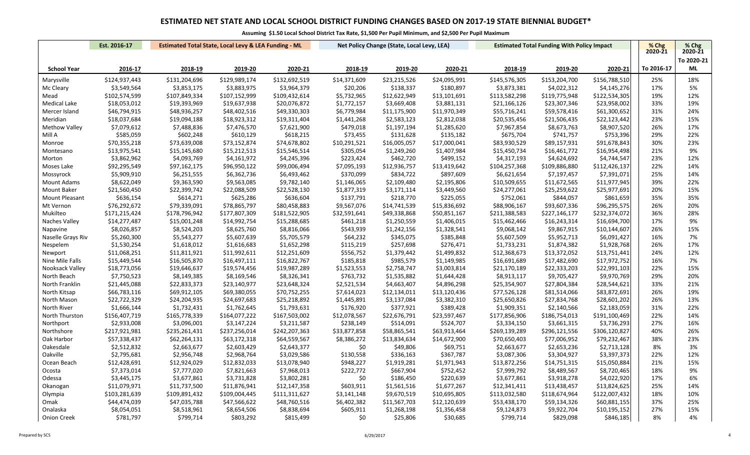|                      | Est. 2016-17  |               | <b>Estimated Total State, Local Levy &amp; LEA Funding - ML</b> |               |              | Net Policy Change (State, Local Levy, LEA) |              | <b>Estimated Total Funding With Policy Impact</b> |               |               | % Chg      | % Chg      |
|----------------------|---------------|---------------|-----------------------------------------------------------------|---------------|--------------|--------------------------------------------|--------------|---------------------------------------------------|---------------|---------------|------------|------------|
|                      |               |               |                                                                 |               |              |                                            |              |                                                   |               |               | 2020-21    | 2020-21    |
|                      |               |               |                                                                 |               |              |                                            |              |                                                   |               |               |            | To 2020-21 |
| <b>School Year</b>   | 2016-17       | 2018-19       | 2019-20                                                         | 2020-21       | 2018-19      | 2019-20                                    | 2020-21      | 2018-19                                           | 2019-20       | 2020-21       | To 2016-17 | ML         |
| Marysville           | \$124,937,443 | \$131,204,696 | \$129,989,174                                                   | \$132,692,519 | \$14,371,609 | \$23,215,526                               | \$24,095,991 | \$145,576,305                                     | \$153,204,700 | \$156,788,510 | 25%        | 18%        |
| Mc Cleary            | \$3,549,564   | \$3,853,175   | \$3,883,975                                                     | \$3,964,379   | \$20,206     | \$138,337                                  | \$180,897    | \$3,873,381                                       | \$4,022,312   | \$4,145,276   | 17%        | 5%         |
| Mead                 | \$102,574,599 | \$107,849,334 | \$107,152,999                                                   | \$109,432,614 | \$5,732,965  | \$12,622,949                               | \$13,101,691 | \$113,582,298                                     | \$119,775,948 | \$122,534,305 | 19%        | 12%        |
| Medical Lake         | \$18,053,012  | \$19,393,969  | \$19,637,938                                                    | \$20,076,872  | \$1,772,157  | \$3,669,408                                | \$3,881,131  | \$21,166,126                                      | \$23,307,346  | \$23,958,002  | 33%        | 19%        |
| Mercer Island        | \$46,794,915  | \$48,936,257  | \$48,402,516                                                    | \$49,330,303  | \$6,779,984  | \$11,175,900                               | \$11,970,349 | \$55,716,241                                      | \$59,578,416  | \$61,300,652  | 31%        | 24%        |
| Meridian             | \$18,037,684  | \$19,094,188  | \$18,923,312                                                    | \$19,311,404  | \$1,441,268  | \$2,583,123                                | \$2,812,038  | \$20,535,456                                      | \$21,506,435  | \$22,123,442  | 23%        | 15%        |
| <b>Methow Valley</b> | \$7,079,612   | \$7,488,836   | \$7,476,570                                                     | \$7,621,900   | \$479,018    | \$1,197,194                                | \$1,285,620  | \$7,967,854                                       | \$8,673,763   | \$8,907,520   | 26%        | 17%        |
| Mill A               | \$585,059     | \$602,248     | \$610,129                                                       | \$618,215     | \$73,455     | \$131,628                                  | \$135,182    | \$675,704                                         | \$741,757     | \$753,396     | 29%        | 22%        |
| Monroe               | \$70,355,218  | \$73,639,008  | \$73,152,874                                                    | \$74,678,802  | \$10,291,521 | \$16,005,057                               | \$17,000,041 | \$83,930,529                                      | \$89,157,931  | \$91,678,843  | 30%        | 23%        |
| Montesano            | \$13,975,541  | \$15,145,680  | \$15,212,513                                                    | \$15,546,514  | \$305,054    | \$1,249,260                                | \$1,407,984  | \$15,450,734                                      | \$16,461,772  | \$16,954,498  | 21%        | 9%         |
| Morton               | \$3,862,962   | \$4,093,769   | \$4,161,972                                                     | \$4,245,396   | \$223,424    | \$462,720                                  | \$499,152    | \$4,317,193                                       | \$4,624,692   | \$4,744,547   | 23%        | 12%        |
| Moses Lake           | \$92,295,549  | \$97,162,175  | \$96,950,122                                                    | \$99,006,494  | \$7,095,193  | \$12,936,757                               | \$13,419,642 | \$104,257,368                                     | \$109,886,880 | \$112,426,137 | 22%        | 14%        |
| Mossyrock            | \$5,909,910   | \$6,251,555   | \$6,362,736                                                     | \$6,493,462   | \$370,099    | \$834,722                                  | \$897,609    | \$6,621,654                                       | \$7,197,457   | \$7,391,071   | 25%        | 14%        |
| Mount Adams          | \$8,622,049   | \$9,363,590   | \$9,563,085                                                     | \$9,782,140   | \$1,146,065  | \$2,109,480                                | \$2,195,806  | \$10,509,655                                      | \$11,672,565  | \$11,977,945  | 39%        | 22%        |
| Mount Baker          | \$21,560,450  | \$22,399,742  | \$22,088,509                                                    | \$22,528,130  | \$1,877,319  | \$3,171,114                                | \$3,449,560  | \$24,277,061                                      | \$25,259,622  | \$25,977,691  | 20%        | 15%        |
| Mount Pleasant       | \$636,154     | \$614,271     | \$625,286                                                       | \$636,604     | \$137,791    | \$218,770                                  | \$225,055    | \$752,061                                         | \$844,057     | \$861,659     | 35%        | 35%        |
| Mt Vernon            | \$76,292,672  | \$79,339,091  | \$78,865,797                                                    | \$80,458,883  | \$9,567,076  | \$14,741,539                               | \$15,836,692 | \$88,906,167                                      | \$93,607,336  | \$96,295,575  | 26%        | 20%        |
| Mukilteo             | \$171,215,424 | \$178,796,942 | \$177,807,309                                                   | \$181,522,905 | \$32,591,641 | \$49,338,868                               | \$50,851,167 | \$211,388,583                                     | \$227,146,177 | \$232,374,072 | 36%        | 28%        |
| Naches Valley        | \$14,277,487  | \$15,001,248  | \$14,992,754                                                    | \$15,288,685  | \$461,218    | \$1,250,559                                | \$1,406,015  | \$15,462,466                                      | \$16,243,314  | \$16,694,700  | 17%        | 9%         |
| Napavine             | \$8,026,857   | \$8,524,203   | \$8,625,760                                                     | \$8,816,066   | \$543,939    | \$1,242,156                                | \$1,328,541  | \$9,068,142                                       | \$9,867,915   | \$10,144,607  | 26%        | 15%        |
| Naselle Grays Riv    | \$5,260,300   | \$5,543,277   | \$5,607,639                                                     | \$5,705,579   | \$64,232     | \$345,075                                  | \$385,848    | \$5,607,509                                       | \$5,952,713   | \$6,091,427   | 16%        | 7%         |
| Nespelem             | \$1,530,254   | \$1,618,012   | \$1,616,683                                                     | \$1,652,298   | \$115,219    | \$257,698                                  | \$276,471    | \$1,733,231                                       | \$1,874,382   | \$1,928,768   | 26%        | 17%        |
| Newport              | \$11,068,251  | \$11,811,921  | \$11,992,611                                                    | \$12,251,609  | \$556,752    | \$1,379,442                                | \$1,499,832  | \$12,368,673                                      | \$13,372,052  | \$13,751,441  | 24%        | 12%        |
| Nine Mile Falls      | \$15,449,544  | \$16,505,870  | \$16,497,111                                                    | \$16,822,767  | \$185,818    | \$985,579                                  | \$1,149,985  | \$16,691,689                                      | \$17,482,690  | \$17,972,752  | 16%        | 7%         |
| Nooksack Valley      | \$18,773,056  | \$19,646,637  | \$19,574,456                                                    | \$19,987,289  | \$1,523,553  | \$2,758,747                                | \$3,003,814  | \$21,170,189                                      | \$22,333,203  | \$22,991,103  | 22%        | 15%        |
| North Beach          | \$7,750,523   | \$8,149,385   | \$8,169,546                                                     | \$8,326,341   | \$763,732    | \$1,535,882                                | \$1,644,428  | \$8,913,117                                       | \$9,705,427   | \$9,970,769   | 29%        | 20%        |
| North Franklin       | \$21,445,088  | \$22,833,373  | \$23,140,977                                                    | \$23,648,324  | \$2,521,534  | \$4,663,407                                | \$4,896,298  | \$25,354,907                                      | \$27,804,384  | \$28,544,621  | 33%        | 21%        |
| North Kitsap         | \$66,783,116  | \$69,912,105  | \$69,380,055                                                    | \$70,752,255  | \$7,614,023  | \$12,134,011                               | \$13,120,436 | \$77,526,128                                      | \$81,514,066  | \$83,872,691  | 26%        | 19%        |
| North Mason          | \$22,722,329  | \$24,204,935  | \$24,697,683                                                    | \$25,218,892  | \$1,445,891  | \$3,137,084                                | \$3,382,310  | \$25,650,826                                      | \$27,834,768  | \$28,601,202  | 26%        | 13%        |
| North River          | \$1,666,144   | \$1,732,431   | \$1,762,645                                                     | \$1,793,631   | \$176,920    | \$377,921                                  | \$389,428    | \$1,909,351                                       | \$2,140,566   | \$2,183,059   | 31%        | 22%        |
| North Thurston       | \$156,407,719 | \$165,778,339 | \$164,077,222                                                   | \$167,503,002 | \$12,078,567 | \$22,676,791                               | \$23,597,467 | \$177,856,906                                     | \$186,754,013 | \$191,100,469 | 22%        | 14%        |
| Northport            | \$2,933,008   | \$3,096,001   | \$3,147,224                                                     | \$3,211,587   | \$238,149    | \$514,091                                  | \$524,707    | \$3,334,150                                       | \$3,661,315   | \$3,736,293   | 27%        | 16%        |
| Northshore           | \$217,921,981 | \$235,261,431 | \$237,256,014                                                   | \$242,207,363 | \$33,877,858 | \$58,865,541                               | \$63,913,464 | \$269,139,289                                     | \$296,121,556 | \$306,120,827 | 40%        | 26%        |
| Oak Harbor           | \$57,338,437  | \$62,264,131  | \$63,172,318                                                    | \$64,559,567  | \$8,386,272  | \$13,834,634                               | \$14,672,900 | \$70,650,403                                      | \$77,006,952  | \$79,232,467  | 38%        | 23%        |
| Oakesdale            | \$2,512,832   | \$2,663,677   | \$2,603,429                                                     | \$2,643,377   | \$0          | \$49,806                                   | \$69,751     | \$2,663,677                                       | \$2,653,236   | \$2,713,128   | 8%         | 3%         |
| Oakville             | \$2,795,681   | \$2,956,748   | \$2,968,764                                                     | \$3,029,586   | \$130,558    | \$336,163                                  | \$367,787    | \$3,087,306                                       | \$3,304,927   | \$3,397,373   | 22%        | 12%        |
| Ocean Beach          | \$12,428,691  | \$12,924,029  | \$12,832,033                                                    | \$13,078,940  | \$948,227    | \$1,919,281                                | \$1,971,943  | \$13,872,256                                      | \$14,751,315  | \$15,050,884  | 21%        | 15%        |
| Ocosta               | \$7,373,014   | \$7,777,020   | \$7,821,663                                                     | \$7,968,013   | \$222,772    | \$667,904                                  | \$752,452    | \$7,999,792                                       | \$8,489,567   | \$8,720,465   | 18%        | 9%         |
| Odessa               | \$3,445,175   | \$3,677,861   | \$3,731,828                                                     | \$3,802,281   | \$0          | \$186,450                                  | \$220,639    | \$3,677,861                                       | \$3,918,278   | \$4,022,920   | 17%        | 6%         |
| Okanogan             | \$11,079,971  | \$11,737,500  | \$11,876,941                                                    | \$12,147,358  | \$603,911    | \$1,561,516                                | \$1,677,267  | \$12,341,411                                      | \$13,438,457  | \$13,824,625  | 25%        | 14%        |
| Olympia              | \$103,281,639 | \$109,891,432 | \$109,004,445                                                   | \$111,311,627 | \$3,141,148  | \$9,670,519                                | \$10,695,805 | \$113,032,580                                     | \$118,674,964 | \$122,007,432 | 18%        | 10%        |
| Omak                 | \$44,474,039  | \$47,035,788  | \$47,566,622                                                    | \$48,760,516  | \$6,402,382  | \$11,567,703                               | \$12,120,639 | \$53,438,170                                      | \$59,134,326  | \$60,881,155  | 37%        | 25%        |
| Onalaska             | \$8,054,051   | \$8,518,961   | \$8,654,506                                                     | \$8,838,694   | \$605,911    | \$1,268,198                                | \$1,356,458  | \$9,124,873                                       | \$9,922,704   | \$10,195,152  | 27%        | 15%        |
| <b>Onion Creek</b>   | \$781,797     | \$799,714     | \$803,292                                                       | \$815,499     | \$0          | \$25,806                                   | \$30,685     | \$799,714                                         | \$829,098     | \$846,185     | 8%         | 4%         |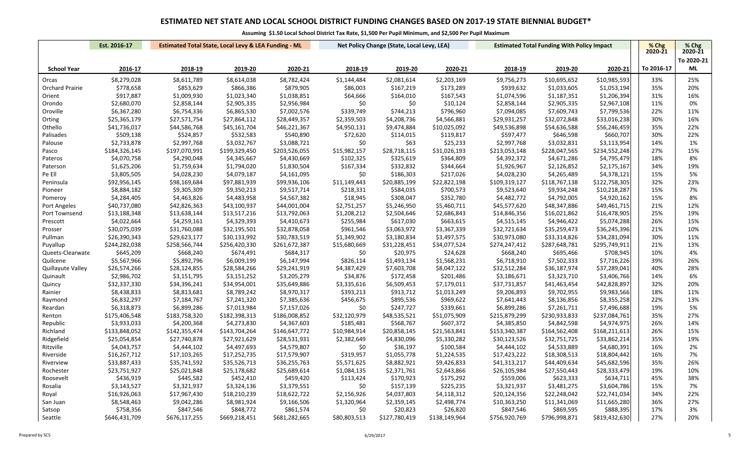|                        | Est. 2016-17  |               | <b>Estimated Total State, Local Levy &amp; LEA Funding - ML</b> |               |              | Net Policy Change (State, Local Levy, LEA) |               | <b>Estimated Total Funding With Policy Impact</b> |               |               | % Chg      | % Chg      |
|------------------------|---------------|---------------|-----------------------------------------------------------------|---------------|--------------|--------------------------------------------|---------------|---------------------------------------------------|---------------|---------------|------------|------------|
|                        |               |               |                                                                 |               |              |                                            |               |                                                   |               |               | 2020-21    | 2020-21    |
|                        |               |               |                                                                 |               |              |                                            |               |                                                   |               |               |            | To 2020-21 |
| <b>School Year</b>     | 2016-17       | 2018-19       | 2019-20                                                         | 2020-21       | 2018-19      | 2019-20                                    | 2020-21       | 2018-19                                           | 2019-20       | 2020-21       | To 2016-17 | ML         |
| Orcas                  | \$8,279,028   | \$8,611,789   | \$8,614,038                                                     | \$8,782,424   | \$1,144,484  | \$2,081,614                                | \$2,203,169   | \$9,756,273                                       | \$10,695,652  | \$10,985,593  | 33%        | 25%        |
| <b>Orchard Prairie</b> | \$778,658     | \$853,629     | \$866,386                                                       | \$879,905     | \$86,003     | \$167,219                                  | \$173,289     | \$939,632                                         | \$1,033,605   | \$1,053,194   | 35%        | 20%        |
| Orient                 | \$917,887     | \$1,009,930   | \$1,023,340                                                     | \$1,038,851   | \$64,666     | \$164,010                                  | \$167,543     | \$1,074,596                                       | \$1,187,351   | \$1,206,394   | 31%        | 16%        |
| Orondo                 | \$2,680,070   | \$2,858,144   | \$2,905,335                                                     | \$2,956,984   | \$0          | \$0                                        | \$10,124      | \$2,858,144                                       | \$2,905,335   | \$2,967,108   | 11%        | 0%         |
| Oroville               | \$6,367,280   | \$6,754,336   | \$6,865,530                                                     | \$7,002,576   | \$339,749    | \$744,213                                  | \$796,960     | \$7,094,085                                       | \$7,609,743   | \$7,799,536   | 22%        | 11%        |
| Orting                 | \$25,365,179  | \$27,571,754  | \$27,864,112                                                    | \$28,449,357  | \$2,359,503  | \$4,208,736                                | \$4,566,881   | \$29,931,257                                      | \$32,072,848  | \$33,016,238  | 30%        | 16%        |
| Othello                | \$41,736,017  | \$44,586,768  | \$45,161,704                                                    | \$46,221,367  | \$4,950,131  | \$9,474,884                                | \$10,025,092  | \$49,536,898                                      | \$54,636,588  | \$56,246,459  | 35%        | 22%        |
| Palisades              | \$509,138     | \$524,857     | \$532,583                                                       | \$540,890     | \$72,620     | \$114,015                                  | \$119,817     | \$597,477                                         | \$646,598     | \$660,707     | 30%        | 22%        |
| Palouse                | \$2,733,878   | \$2,997,768   | \$3,032,767                                                     | \$3,088,721   | \$0          | \$63                                       | \$25,233      | \$2,997,768                                       | \$3,032,831   | \$3,113,954   | 14%        | 1%         |
| Pasco                  | \$184,326,145 | \$197,070,991 | \$199,329,450                                                   | \$203,526,055 | \$15,982,157 | \$28,718,115                               | \$31,026,193  | \$213,053,148                                     | \$228,047,565 | \$234,552,248 | 27%        | 15%        |
| Pateros                | \$4,070,758   | \$4,290,048   | \$4,345,667                                                     | \$4,430,669   | \$102,325    | \$325,619                                  | \$364,809     | \$4,392,372                                       | \$4,671,286   | \$4,795,479   | 18%        | 8%         |
| Paterson               | \$1,625,206   | \$1,759,634   | \$1,794,020                                                     | \$1,830,504   | \$167,334    | \$332,832                                  | \$344,664     | \$1,926,967                                       | \$2,126,852   | \$2,175,167   | 34%        | 19%        |
| Pe Ell                 | \$3,805,505   | \$4,028,230   | \$4,079,187                                                     | \$4,161,095   | \$0          | \$186,303                                  | \$217,026     | \$4,028,230                                       | \$4,265,489   | \$4,378,121   | 15%        | 5%         |
| Peninsula              | \$92,956,145  | \$98,169,684  | \$97,881,939                                                    | \$99,936,106  | \$11,149,443 | \$20,885,199                               | \$22,822,198  | \$109,319,127                                     | \$118,767,138 | \$122,758,305 | 32%        | 23%        |
| Pioneer                | \$8,884,182   | \$9,305,309   | \$9,350,213                                                     | \$9,517,714   | \$218,331    | \$584,035                                  | \$700,573     | \$9,523,640                                       | \$9,934,248   | \$10,218,287  | 15%        | 7%         |
| Pomeroy                | \$4,284,405   | \$4,463,826   | \$4,483,958                                                     | \$4,567,382   | \$18,945     | \$308,047                                  | \$352,780     | \$4,482,772                                       | \$4,792,005   | \$4,920,162   | 15%        | 8%         |
| Port Angeles           | \$40,737,080  | \$42,826,363  | \$43,100,937                                                    | \$44,001,004  | \$2,751,257  | \$5,246,950                                | \$5,460,711   | \$45,577,620                                      | \$48,347,886  | \$49,461,715  | 21%        | 12%        |
| Port Townsend          | \$13,188,348  | \$13,638,144  | \$13,517,216                                                    | \$13,792,063  | \$1,208,212  | \$2,504,646                                | \$2,686,843   | \$14,846,356                                      | \$16,021,862  | \$16,478,905  | 25%        | 19%        |
| Prescott               | \$4,022,664   | \$4,259,161   | \$4,329,393                                                     | \$4,410,673   | \$255,984    | \$617,030                                  | \$663,615     | \$4,515,145                                       | \$4,946,422   | \$5,074,288   | 26%        | 15%        |
| Prosser                | \$30,075,039  | \$31,760,088  | \$32,195,501                                                    | \$32,878,058  | \$961,546    | \$3,063,972                                | \$3,367,339   | \$32,721,634                                      | \$35,259,473  | \$36,245,396  | 21%        | 10%        |
| Pullman                | \$26,390,343  | \$29,623,177  | \$30,133,992                                                    | \$30,783,519  | \$1,349,902  | \$3,180,834                                | \$3,497,575   | \$30,973,080                                      | \$33,314,826  | \$34,281,094  | 30%        | 11%        |
| Puyallup               | \$244,282,038 | \$258,566,744 | \$256,420,330                                                   | \$261,672,387 | \$15,680,669 | \$31,228,451                               | \$34,077,524  | \$274,247,412                                     | \$287,648,781 | \$295,749,911 | 21%        | 13%        |
| Queets-Clearwate       | \$645,209     | \$668,240     | \$674,491                                                       | \$684,317     | \$0          | \$20,975                                   | \$24,628      | \$668,240                                         | \$695,466     | \$708,945     | 10%        | 4%         |
| Quilcene               | \$5,567,966   | \$5,892,796   | \$6,009,199                                                     | \$6,147,994   | \$826,114    | \$1,493,134                                | \$1,568,231   | \$6,718,910                                       | \$7,502,333   | \$7,716,226   | 39%        | 26%        |
| Quillayute Valley      | \$26,574,266  | \$28,124,855  | \$28,584,266                                                    | \$29,241,919  | \$4,387,429  | \$7,603,708                                | \$8,047,122   | \$32,512,284                                      | \$36,187,974  | \$37,289,041  | 40%        | 28%        |
| Quinault               | \$2,986,702   | \$3,151,795   | \$3,151,252                                                     | \$3,205,279   | \$34,876     | \$172,458                                  | \$201,486     | \$3,186,671                                       | \$3,323,710   | \$3,406,766   | 14%        | 6%         |
| Quincy                 | \$32,337,330  | \$34,396,241  | \$34,954,001                                                    | \$35,649,886  | \$3,335,616  | \$6,509,453                                | \$7,179,011   | \$37,731,857                                      | \$41,463,454  | \$42,828,897  | 32%        | 20%        |
| Rainier                | \$8,438,833   | \$8,813,681   | \$8,789,242                                                     | \$8,970,317   | \$393,213    | \$913,712                                  | \$1,013,249   | \$9,206,893                                       | \$9,702,955   | \$9,983,566   | 18%        | 11%        |
| Raymond                | \$6,832,297   | \$7,184,767   | \$7,241,320                                                     | \$7,385,636   | \$456,675    | \$895,536                                  | \$969,622     | \$7,641,443                                       | \$8,136,856   | \$8,355,258   | 22%        | 13%        |
| Reardan                | \$6,318,873   | \$6,899,286   | \$7,013,984                                                     | \$7,157,026   | \$0          | \$247,727                                  | \$339,661     | \$6,899,286                                       | \$7,261,711   | \$7,496,688   | 19%        | 5%         |
| Renton                 | \$175,406,548 | \$183,758,320 | \$182,398,313                                                   | \$186,008,852 | \$32,120,979 | \$48,535,521                               | \$51,075,909  | \$215,879,299                                     | \$230,933,833 | \$237,084,761 | 35%        | 27%        |
| Republic               | \$3,933,033   | \$4,200,368   | \$4,273,830                                                     | \$4,367,603   | \$185,481    | \$568,767                                  | \$607,372     | \$4,385,850                                       | \$4,842,598   | \$4,974,975   | 26%        | 14%        |
| Richland               | \$133,848,052 | \$142,355,474 | \$143,704,264                                                   | \$146,647,772 | \$10,984,914 | \$20,858,145                               | \$21,563,841  | \$153,340,387                                     | \$164,562,408 | \$168,211,613 | 26%        | 15%        |
| Ridgefield             | \$25,054,854  | \$27,740,878  | \$27,921,629                                                    | \$28,531,931  | \$2,382,649  | \$4,830,096                                | \$5,330,282   | \$30,123,526                                      | \$32,751,725  | \$33,862,214  | 35%        | 19%        |
| Ritzville              | \$4,043,757   | \$4,444,102   | \$4,497,693                                                     | \$4,579,807   | \$0          | \$36,197                                   | \$100,584     | \$4,444,102                                       | \$4,533,889   | \$4,680,391   | 16%        | 2%         |
| Riverside              | \$16,267,712  | \$17,103,265  | \$17,252,735                                                    | \$17,579,907  | \$319,957    | \$1,055,778                                | \$1,224,535   | \$17,423,222                                      | \$18,308,513  | \$18,804,442  | 16%        | 7%         |
| Riverview              | \$33,887,433  | \$35,741,592  | \$35,526,713                                                    | \$36,255,763  | \$5,571,625  | \$8,882,921                                | \$9,426,833   | \$41,313,217                                      | \$44,409,634  | \$45,682,596  | 35%        | 26%        |
| Rochester              | \$23,751,927  | \$25,021,848  | \$25,178,682                                                    | \$25,689,614  | \$1,084,135  | \$2,371,761                                | \$2,643,866   | \$26,105,984                                      | \$27,550,443  | \$28,333,479  | 19%        | 10%        |
| Roosevelt              | \$436,919     | \$445,582     | \$452,410                                                       | \$459,420     | \$113,424    | \$170,923                                  | \$175,292     | \$559,006                                         | \$623,333     | \$634,711     | 45%        | 38%        |
| Rosalia                | \$3,143,527   | \$3,321,937   | \$3,324,136                                                     | \$3,379,551   | \$0          | \$157,139                                  | \$225,235     | \$3,321,937                                       | \$3,481,275   | \$3,604,786   | 15%        | 7%         |
| Royal                  | \$16,926,063  | \$17,967,430  | \$18,210,239                                                    | \$18,622,722  | \$2,156,926  | \$4,037,803                                | \$4,118,312   | \$20,124,356                                      | \$22,248,042  | \$22,741,034  | 34%        | 22%        |
| San Juan               | \$8,548,463   | \$9,042,286   | \$8,981,924                                                     | \$9,166,506   | \$1,320,964  | \$2,359,145                                | \$2,498,774   | \$10,363,250                                      | \$11,341,069  | \$11,665,280  | 36%        | 27%        |
| Satsop                 | \$758,356     | \$847,546     | \$848,772                                                       | \$861,574     | \$0          | \$20,823                                   | \$26,820      | \$847,546                                         | \$869,595     | \$888,395     | 17%        | 3%         |
| Seattle                | \$646,431,709 | \$676,117,255 | \$669,218,451                                                   | \$681,282,665 | \$80,803,513 | \$127,780,419                              | \$138,149,964 | \$756,920,769                                     | \$796,998,871 | \$819,432,630 | 27%        | 20%        |
|                        |               |               |                                                                 |               |              |                                            |               |                                                   |               |               |            |            |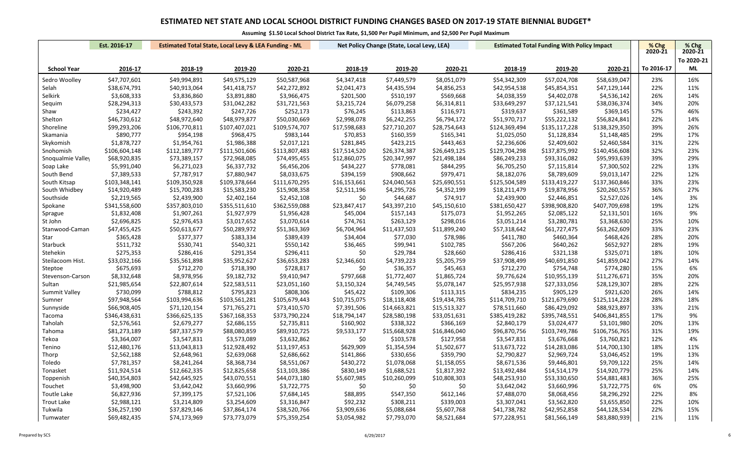|                    | Est. 2016-17<br><b>Estimated Total State, Local Levy &amp; LEA Funding - ML</b> |               |               |               | Net Policy Change (State, Local Levy, LEA) |              |              | <b>Estimated Total Funding With Policy Impact</b> | % Chg         | $%$ Chg       |            |            |
|--------------------|---------------------------------------------------------------------------------|---------------|---------------|---------------|--------------------------------------------|--------------|--------------|---------------------------------------------------|---------------|---------------|------------|------------|
|                    |                                                                                 |               |               |               |                                            |              |              |                                                   |               |               | 2020-21    | 2020-21    |
|                    |                                                                                 |               |               |               |                                            |              |              |                                                   |               |               |            | To 2020-21 |
| <b>School Year</b> | 2016-17                                                                         | 2018-19       | 2019-20       | 2020-21       | 2018-19                                    | 2019-20      | 2020-21      | 2018-19                                           | 2019-20       | 2020-21       | To 2016-17 | <b>ML</b>  |
| Sedro Woolley      | \$47,707,601                                                                    | \$49,994,891  | \$49,575,129  | \$50,587,968  | \$4,347,418                                | \$7,449,579  | \$8,051,079  | \$54,342,309                                      | \$57,024,708  | \$58,639,047  | 23%        | 16%        |
| Selah              | \$38,674,791                                                                    | \$40,913,064  | \$41,418,757  | \$42,272,892  | \$2,041,473                                | \$4,435,594  | \$4,856,253  | \$42,954,538                                      | \$45,854,351  | \$47,129,144  | 22%        | 11%        |
| Selkirk            | \$3,608,333                                                                     | \$3,836,860   | \$3,891,880   | \$3,966,475   | \$201,500                                  | \$510,197    | \$569,668    | \$4,038,359                                       | \$4,402,078   | \$4,536,142   | 26%        | 14%        |
| Sequim             | \$28,294,313                                                                    | \$30,433,573  | \$31,042,282  | \$31,721,563  | \$3,215,724                                | \$6,079,258  | \$6,314,811  | \$33,649,297                                      | \$37,121,541  | \$38,036,374  | 34%        | 20%        |
| Shaw               | \$234,427                                                                       | \$243,392     | \$247,726     | \$252,173     | \$76,245                                   | \$113,863    | \$116,971    | \$319,637                                         | \$361,589     | \$369,145     | 57%        | 46%        |
| Shelton            | \$46,730,612                                                                    | \$48,972,640  | \$48,979,877  | \$50,030,669  | \$2,998,078                                | \$6,242,255  | \$6,794,172  | \$51,970,717                                      | \$55,222,132  | \$56,824,841  | 22%        | 14%        |
| Shoreline          | \$99,293,206                                                                    | \$106,770,811 | \$107,407,021 | \$109,574,707 | \$17,598,683                               | \$27,710,207 | \$28,754,643 | \$124,369,494                                     | \$135,117,228 | \$138,329,350 | 39%        | 26%        |
| Skamania           | \$890,777                                                                       | \$954,198     | \$968,475     | \$983,144     | \$70,853                                   | \$160,359    | \$165,341    | \$1,025,050                                       | \$1,128,834   | \$1,148,485   | 29%        | 17%        |
| Skykomish          | \$1,878,727                                                                     | \$1,954,761   | \$1,986,388   | \$2,017,121   | \$281,845                                  | \$423,215    | \$443,463    | \$2,236,606                                       | \$2,409,602   | \$2,460,584   | 31%        | 22%        |
| Snohomish          | \$106,604,148                                                                   | \$112,189,777 | \$111,501,606 | \$113,807,483 | \$17,514,520                               | \$26,374,387 | \$26,649,125 | \$129,704,298                                     | \$137,875,992 | \$140,456,608 | 32%        | 23%        |
| Snoqualmie Valley  | \$68,920,835                                                                    | \$73,389,157  | \$72,968,085  | \$74,495,455  | \$12,860,075                               | \$20,347,997 | \$21,498,184 | \$86,249,233                                      | \$93,316,082  | \$95,993,639  | 39%        | 29%        |
| Soap Lake          | \$5,991,040                                                                     | \$6,271,023   | \$6,337,732   | \$6,456,206   | \$434,227                                  | \$778,081    | \$844,295    | \$6,705,250                                       | \$7,115,814   | \$7,300,502   | 22%        | 13%        |
| South Bend         | \$7,389,533                                                                     | \$7,787,917   | \$7,880,947   | \$8,033,675   | \$394,159                                  | \$908,662    | \$979,471    | \$8,182,076                                       | \$8,789,609   | \$9,013,147   | 22%        | 12%        |
| South Kitsap       | \$103,348,141                                                                   | \$109,350,928 | \$109,378,664 | \$111,670,295 | \$16,153,661                               | \$24,040,563 | \$25,690,551 | \$125,504,589                                     | \$133,419,227 | \$137,360,846 | 33%        | 23%        |
| South Whidbey      | \$14,920,489                                                                    | \$15,700,283  | \$15,583,230  | \$15,908,358  | \$2,511,196                                | \$4,295,726  | \$4,352,199  | \$18,211,479                                      | \$19,878,956  | \$20,260,557  | 36%        | 27%        |
| Southside          | \$2,219,565                                                                     | \$2,439,900   | \$2,402,164   | \$2,452,108   | \$0                                        | \$44,687     | \$74,917     | \$2,439,900                                       | \$2,446,851   | \$2,527,026   | 14%        | 3%         |
| Spokane            | \$341,558,600                                                                   | \$357,803,010 | \$355,511,610 | \$362,559,088 | \$23,847,417                               | \$43,397,210 | \$45,150,610 | \$381,650,427                                     | \$398,908,820 | \$407,709,698 | 19%        | 12%        |
| Sprague            | \$1,832,408                                                                     | \$1,907,261   | \$1,927,979   | \$1,956,428   | \$45,004                                   | \$157,143    | \$175,073    | \$1,952,265                                       | \$2,085,122   | \$2,131,501   | 16%        | 9%         |
| St John            | \$2,696,825                                                                     | \$2,976,453   | \$3,017,652   | \$3,070,614   | \$74,761                                   | \$263,129    | \$298,016    | \$3,051,214                                       | \$3,280,781   | \$3,368,630   | 25%        | 10%        |
| Stanwood-Caman     | \$47,455,425                                                                    | \$50,613,677  | \$50,289,972  | \$51,363,369  | \$6,704,964                                | \$11,437,503 | \$11,899,240 | \$57,318,642                                      | \$61,727,475  | \$63,262,609  | 33%        | 23%        |
| Star               | \$365,428                                                                       | \$377,377     | \$383,334     | \$389,439     | \$34,404                                   | \$77,030     | \$78,986     | \$411,780                                         | \$460,364     | \$468,426     | 28%        | 20%        |
| Starbuck           | \$511,732                                                                       | \$530,741     | \$540,321     | \$550,142     | \$36,465                                   | \$99,941     | \$102,785    | \$567,206                                         | \$640,262     | \$652,927     | 28%        | 19%        |
| Stehekin           | \$275,353                                                                       | \$286,416     | \$291,354     | \$296,411     | \$0                                        | \$29,784     | \$28,660     | \$286,416                                         | \$321,138     | \$325,071     | 18%        | 10%        |
| Steilacoom Hist.   | \$33,032,166                                                                    | \$35,561,898  | \$35,952,627  | \$36,653,283  | \$2,346,601                                | \$4,739,223  | \$5,205,759  | \$37,908,499                                      | \$40,691,850  | \$41,859,042  | 27%        | 14%        |
| Steptoe            | \$675,693                                                                       | \$712,270     | \$718,390     | \$728,817     | \$0                                        | \$36,357     | \$45,463     | \$712,270                                         | \$754,748     | \$774,280     | 15%        | 6%         |
| Stevenson-Carson   | \$8,332,648                                                                     | \$8,978,956   | \$9,182,732   | \$9,410,947   | \$797,668                                  | \$1,772,407  | \$1,865,724  | \$9,776,624                                       | \$10,955,139  | \$11,276,671  | 35%        | 20%        |
| Sultan             | \$21,985,654                                                                    | \$22,807,614  | \$22,583,511  | \$23,051,160  | \$3,150,324                                | \$4,749,545  | \$5,078,147  | \$25,957,938                                      | \$27,333,056  | \$28,129,307  | 28%        | 22%        |
| Summit Valley      | \$730,099                                                                       | \$788,812     | \$795,823     | \$808,306     | \$45,422                                   | \$109,306    | \$113,315    | \$834,235                                         | \$905,129     | \$921,620     | 26%        | 14%        |
| Sumner             | \$97,948,564                                                                    | \$103,994,636 | \$103,561,281 | \$105,679,443 | \$10,715,075                               | \$18,118,408 | \$19,434,785 | \$114,709,710                                     | \$121,679,690 | \$125,114,228 | 28%        | 18%        |
| Sunnyside          | \$66,908,405                                                                    | \$71,120,154  | \$71,765,271  | \$73,410,570  | \$7,391,506                                | \$14,663,821 | \$15,513,327 | \$78,511,660                                      | \$86,429,092  | \$88,923,897  | 33%        | 21%        |
| Tacoma             | \$346,438,631                                                                   | \$366,625,135 | \$367,168,353 | \$373,790,224 | \$18,794,147                               | \$28,580,198 | \$33,051,631 | \$385,419,282                                     | \$395,748,551 | \$406,841,855 | 17%        | 9%         |
| Taholah            | \$2,576,561                                                                     | \$2,679,277   | \$2,686,155   | \$2,735,811   | \$160,902                                  | \$338,322    | \$366,169    | \$2,840,179                                       | \$3,024,477   | \$3,101,980   | 20%        | 13%        |
| Tahoma             | \$81,273,189                                                                    | \$87,337,579  | \$88,080,859  | \$89,910,725  | \$9,533,177                                | \$15,668,928 | \$16,846,040 | \$96,870,756                                      | \$103,749,786 | \$106,756,765 | 31%        | 19%        |
| Tekoa              | \$3,364,007                                                                     | \$3,547,831   | \$3,573,089   | \$3,632,862   | \$0                                        | \$103,578    | \$127,958    | \$3,547,831                                       | \$3,676,668   | \$3,760,821   | 12%        | 4%         |
| Tenino             | \$12,480,176                                                                    | \$13,043,813  | \$12,928,492  | \$13,197,453  | \$629,909                                  | \$1,354,594  | \$1,502,677  | \$13,673,722                                      | \$14,283,086  | \$14,700,130  | 18%        | 11%        |
| Thorp              | \$2,562,188                                                                     | \$2,648,961   | \$2,639,068   | \$2,686,662   | \$141,866                                  | \$330,656    | \$359,790    | \$2,790,827                                       | \$2,969,724   | \$3,046,452   | 19%        | 13%        |
| Toledo             | \$7,781,357                                                                     | \$8,241,264   | \$8,368,734   | \$8,551,067   | \$430,272                                  | \$1,078,068  | \$1,158,055  | \$8,671,536                                       | \$9,446,801   | \$9,709,122   | 25%        | 14%        |
| Tonasket           | \$11,924,514                                                                    | \$12,662,335  | \$12,825,658  | \$13,103,386  | \$830,149                                  | \$1,688,521  | \$1,817,392  | \$13,492,484                                      | \$14,514,179  | \$14,920,779  | 25%        | 14%        |
| Toppenish          | \$40,354,803                                                                    | \$42,645,925  | \$43,070,551  | \$44,073,180  | \$5,607,985                                | \$10,260,099 | \$10,808,303 | \$48,253,910                                      | \$53,330,650  | \$54,881,483  | 36%        | 25%        |
| Touchet            | \$3,498,900                                                                     | \$3,642,042   | \$3,660,996   | \$3,722,775   | \$0                                        | \$0          | \$0          | \$3,642,042                                       | \$3,660,996   | \$3,722,775   | 6%         | 0%         |
| Toutle Lake        | \$6,827,936                                                                     | \$7,399,175   | \$7,521,106   | \$7,684,145   | \$88,895                                   | \$547,350    | \$612,146    | \$7,488,070                                       | \$8,068,456   | \$8,296,292   | 22%        | 8%         |
| <b>Trout Lake</b>  | \$2,988,121                                                                     | \$3,214,809   | \$3,254,609   | \$3,316,847   | \$92,232                                   | \$308,211    | \$339,003    | \$3,307,041                                       | \$3,562,820   | \$3,655,850   | 22%        | 10%        |
| Tukwila            | \$36,257,190                                                                    | \$37,829,146  | \$37,864,174  | \$38,520,766  | \$3,909,636                                | \$5,088,684  | \$5,607,768  | \$41,738,782                                      | \$42,952,858  | \$44,128,534  | 22%        | 15%        |
| Tumwater           | \$69,482,435                                                                    | \$74,173,969  | \$73,773,079  | \$75,359,254  | \$3,054,982                                | \$7,793,070  | \$8,521,684  | \$77,228,951                                      | \$81,566,149  | \$83,880,939  | 21%        | 11%        |